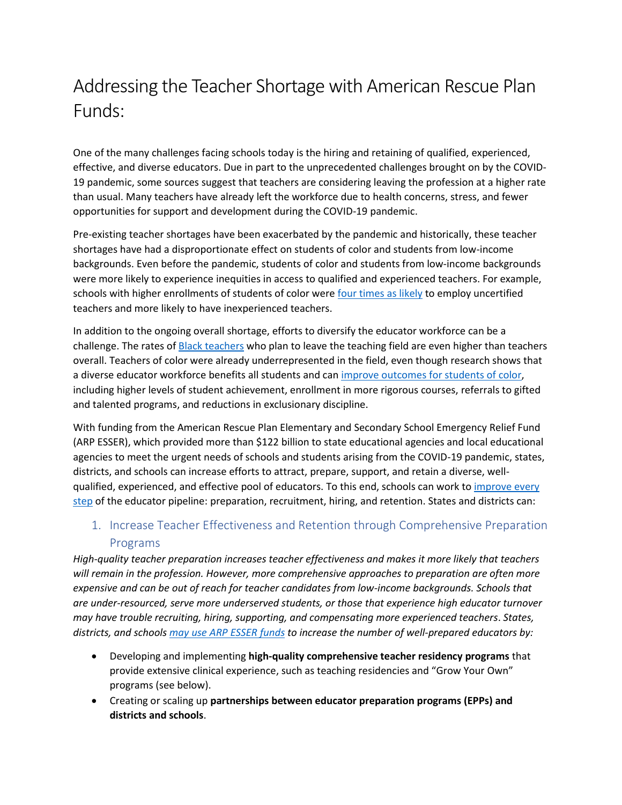# Addressing the Teacher Shortage with American Rescue Plan Funds:

One of the many challenges facing schools today is the hiring and retaining of qualified, experienced, effective, and diverse educators. Due in part to the unprecedented challenges brought on by the COVID-19 pandemic, some sources suggest that teachers are considering leaving the profession at a higher rate than usual. Many teachers have already left the workforce due to health concerns, stress, and fewer opportunities for support and development during the COVID-19 pandemic.

Pre-existing teacher shortages have been exacerbated by the pandemic and historically, these teacher shortages have had a disproportionate effect on students of color and students from low-income backgrounds. Even before the pandemic, students of color and students from low-income backgrounds were more likely to experience inequities in access to qualified and experienced teachers. For example, schools with higher enrollments of students of color were [four times as likely](https://ocrdata.ed.gov/) to employ uncertified teachers and more likely to have inexperienced teachers.

In addition to the ongoing overall shortage, efforts to diversify the educator workforce can be a challenge. The rates o[f Black teachers](https://www.rand.org/pubs/research_reports/RRA1108-1.html) who plan to leave the teaching field are even higher than teachers overall. Teachers of color were already underrepresented in the field, even though research shows that a diverse educator workforce benefits all students and can [improve outcomes for students of color,](https://www.nber.org/papers/w25254) including higher levels of student achievement, enrollment in more rigorous courses, referrals to gifted and talented programs, and reductions in exclusionary discipline.

With funding from the American Rescue Plan Elementary and Secondary School Emergency Relief Fund (ARP ESSER), which provided more than \$122 billion to state educational agencies and local educational agencies to meet the urgent needs of schools and students arising from the COVID-19 pandemic, states, districts, and schools can increase efforts to attract, prepare, support, and retain a diverse, wellqualified, experienced, and effective pool of educators. To this end, schools can work to improve every [step](https://compcenternetwork.org/focus-topics/topic/7123/strengthening-and-diversifying-educator-workforce) of the educator pipeline: preparation, recruitment, hiring, and retention. States and districts can:

# 1. Increase Teacher Effectiveness and Retention through Comprehensive Preparation Programs

*High-quality teacher preparation increases teacher effectiveness and makes it more likely that teachers will remain in the profession. However, more comprehensive approaches to preparation are often more expensive and can be out of reach for teacher candidates from low-income backgrounds. Schools that are under-resourced, serve more underserved students, or those that experience high educator turnover may have trouble recruiting, hiring, supporting, and compensating more experienced teachers*. *States, districts, and schools [may use ARP ESSER funds](https://oese.ed.gov/files/2021/05/ESSER.GEER_.FAQs_5.26.21_745AM_FINALb0cd6833f6f46e03ba2d97d30aff953260028045f9ef3b18ea602db4b32b1d99.pdf) to increase the number of well-prepared educators by:*

- Developing and implementing **high-quality comprehensive teacher residency programs** that provide extensive clinical experience, such as teaching residencies and "Grow Your Own" programs (see below).
- Creating or scaling up **partnerships between educator preparation programs (EPPs) and districts and schools**.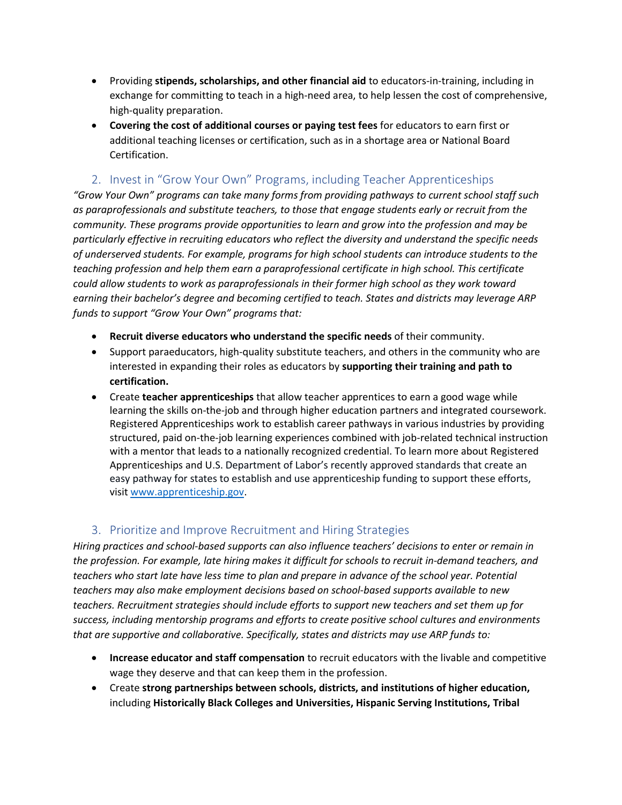- Providing **stipends, scholarships, and other financial aid** to educators-in-training, including in exchange for committing to teach in a high-need area, to help lessen the cost of comprehensive, high-quality preparation.
- **Covering the cost of additional courses or paying test fees** for educators to earn first or additional teaching licenses or certification, such as in a shortage area or National Board Certification.

### 2. Invest in "Grow Your Own" Programs, including Teacher Apprenticeships

*"Grow Your Own" programs can take many forms from providing pathways to current school staff such as paraprofessionals and substitute teachers, to those that engage students early or recruit from the community. These programs provide opportunities to learn and grow into the profession and may be particularly effective in recruiting educators who reflect the diversity and understand the specific needs of underserved students. For example, programs for high school students can introduce students to the teaching profession and help them earn a paraprofessional certificate in high school. This certificate could allow students to work as paraprofessionals in their former high school as they work toward earning their bachelor's degree and becoming certified to teach. States and districts may leverage ARP funds to support "Grow Your Own" programs that:*

- **Recruit diverse educators who understand the specific needs** of their community.
- Support paraeducators, high-quality substitute teachers, and others in the community who are interested in expanding their roles as educators by **supporting their training and path to certification.**
- Create **teacher apprenticeships** that allow teacher apprentices to earn a good wage while learning the skills on-the-job and through higher education partners and integrated coursework. Registered Apprenticeships work to establish career pathways in various industries by providing structured, paid on-the-job learning experiences combined with job-related technical instruction with a mentor that leads to a nationally recognized credential. To learn more about Registered Apprenticeships and U.S. Department of Labor's recently approved standards that create an easy pathway for states to establish and use apprenticeship funding to support these efforts, visi[t www.apprenticeship.gov.](http://www.apprenticeship.gov/)

#### 3. Prioritize and Improve Recruitment and Hiring Strategies

*Hiring practices and school-based supports can also influence teachers' decisions to enter or remain in the profession. For example, late hiring makes it difficult for schools to recruit in-demand teachers, and teachers who start late have less time to plan and prepare in advance of the school year. Potential teachers may also make employment decisions based on school-based supports available to new teachers. Recruitment strategies should include efforts to support new teachers and set them up for success, including mentorship programs and efforts to create positive school cultures and environments that are supportive and collaborative. Specifically, states and districts may use ARP funds to:*

- **Increase educator and staff compensation** to recruit educators with the livable and competitive wage they deserve and that can keep them in the profession.
- Create **strong partnerships between schools, districts, and institutions of higher education,**  including **Historically Black Colleges and Universities, Hispanic Serving Institutions, Tribal**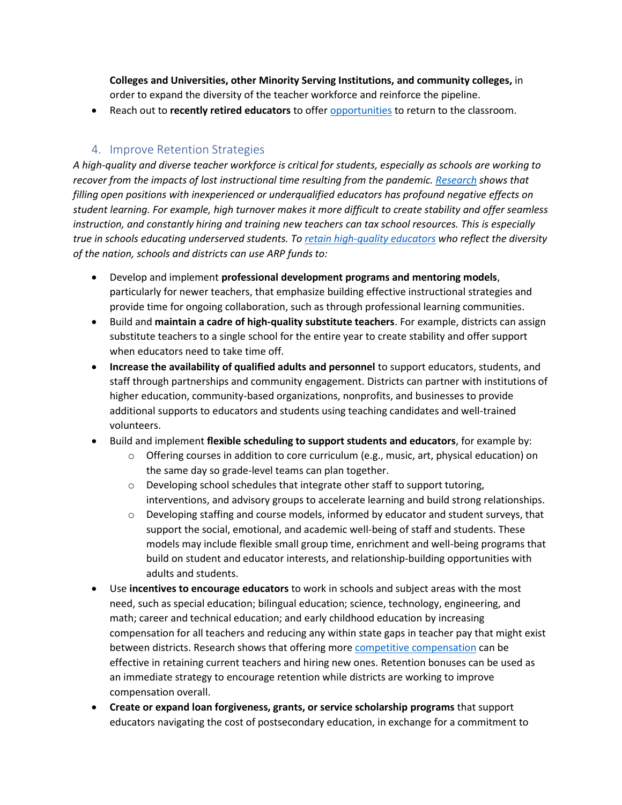**Colleges and Universities, other Minority Serving Institutions, and community colleges,** in order to expand the diversity of the teacher workforce and reinforce the pipeline.

• Reach out to **recently retired educators** to offer [opportunities](https://www.irs.gov/newsroom/coronavirus-related-relief-for-retirement-plans-and-iras-questions-and-answers) to return to the classroom.

#### 4. Improve Retention Strategies

*A high-quality and diverse teacher workforce is critical for students, especially as schools are working to recover from the impacts of lost instructional time resulting from the pandemic. [Research](https://learningpolicyinstitute.org/product/teacher-turnover-report) shows that filling open positions with inexperienced or underqualified educators has profound negative effects on student learning. For example, high turnover makes it more difficult to create stability and offer seamless instruction, and constantly hiring and training new teachers can tax school resources. This is especially true in schools educating underserved students. To [retain high-quality educators](https://compcenternetwork.org/resources/resource/6717/tools-hone-your-teacher-retention-strategies-program-profiles-and-data) who reflect the diversity of the nation, schools and districts can use ARP funds to:*

- Develop and implement **professional development programs and mentoring models**, particularly for newer teachers, that emphasize building effective instructional strategies and provide time for ongoing collaboration, such as through professional learning communities.
- Build and **maintain a cadre of high-quality substitute teachers**. For example, districts can assign substitute teachers to a single school for the entire year to create stability and offer support when educators need to take time off.
- **Increase the availability of qualified adults and personnel** to support educators, students, and staff through partnerships and community engagement. Districts can partner with institutions of higher education, community-based organizations, nonprofits, and businesses to provide additional supports to educators and students using teaching candidates and well-trained volunteers.
- Build and implement **flexible scheduling to support students and educators**, for example by:
	- $\circ$  Offering courses in addition to core curriculum (e.g., music, art, physical education) on the same day so grade-level teams can plan together.
	- $\circ$  Developing school schedules that integrate other staff to support tutoring, interventions, and advisory groups to accelerate learning and build strong relationships.
	- $\circ$  Developing staffing and course models, informed by educator and student surveys, that support the social, emotional, and academic well-being of staff and students. These models may include flexible small group time, enrichment and well-being programs that build on student and educator interests, and relationship-building opportunities with adults and students.
- Use **incentives to encourage educators** to work in schools and subject areas with the most need, such as special education; bilingual education; science, technology, engineering, and math; career and technical education; and early childhood education by increasing compensation for all teachers and reducing any within state gaps in teacher pay that might exist between districts. Research shows that offering mor[e competitive compensation](https://edtrust.org/wp-content/uploads/2014/09/If-You-Listen-We-Will-Stay-Why-Teachers-of-Color-Leave-and-How-to-Disrupt-Teacher-Turnover-2019-September.pdf) can be effective in retaining current teachers and hiring new ones. Retention bonuses can be used as an immediate strategy to encourage retention while districts are working to improve compensation overall.
- **Create or expand loan forgiveness, grants, or service scholarship programs** that support educators navigating the cost of postsecondary education, in exchange for a commitment to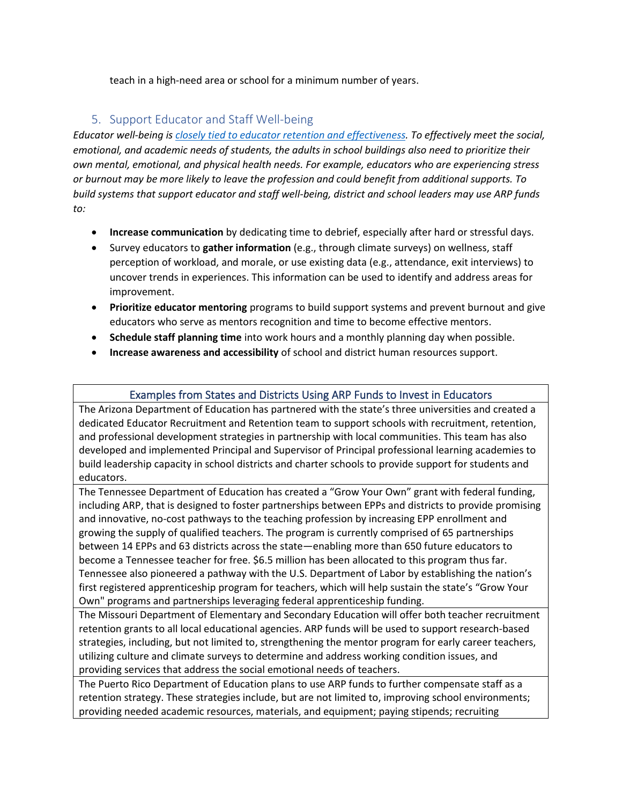teach in a high-need area or school for a minimum number of years.

## 5. Support Educator and Staff Well-being

*Educator well-being i[s closely tied to educator retention and effectiveness.](https://annenberg.brown.edu/sites/default/files/EdResearch_for_Recovery_Brief_19.pdf) To effectively meet the social, emotional, and academic needs of students, the adults in school buildings also need to prioritize their own mental, emotional, and physical health needs. For example, educators who are experiencing stress or burnout may be more likely to leave the profession and could benefit from additional supports. To build systems that support educator and staff well-being, district and school leaders may use ARP funds to:*

- **Increase communication** by dedicating time to debrief, especially after hard or stressful days.
- Survey educators to **gather information** (e.g., through climate surveys) on wellness, staff perception of workload, and morale, or use existing data (e.g., attendance, exit interviews) to uncover trends in experiences. This information can be used to identify and address areas for improvement.
- **Prioritize educator mentoring** programs to build support systems and prevent burnout and give educators who serve as mentors recognition and time to become effective mentors.
- **Schedule staff planning time** into work hours and a monthly planning day when possible.
- **Increase awareness and accessibility** of school and district human resources support.

#### Examples from States and Districts Using ARP Funds to Invest in Educators

The Arizona Department of Education has partnered with the state's three universities and created a dedicated Educator Recruitment and Retention team to support schools with recruitment, retention, and professional development strategies in partnership with local communities. This team has also developed and implemented Principal and Supervisor of Principal professional learning academies to build leadership capacity in school districts and charter schools to provide support for students and educators.

The Tennessee Department of Education has created a "Grow Your Own" grant with federal funding, including ARP, that is designed to foster partnerships between EPPs and districts to provide promising and innovative, no-cost pathways to the teaching profession by increasing EPP enrollment and growing the supply of qualified teachers. The program is currently comprised of 65 partnerships between 14 EPPs and 63 districts across the state—enabling more than 650 future educators to become a Tennessee teacher for free. \$6.5 million has been allocated to this program thus far. Tennessee also pioneered a pathway with the U.S. Department of Labor by establishing the nation's first registered apprenticeship program for teachers, which will help sustain the state's "Grow Your Own" programs and partnerships leveraging federal apprenticeship funding.

The Missouri Department of Elementary and Secondary Education will offer both teacher recruitment retention grants to all local educational agencies. ARP funds will be used to support research-based strategies, including, but not limited to, strengthening the mentor program for early career teachers, utilizing culture and climate surveys to determine and address working condition issues, and providing services that address the social emotional needs of teachers.

The Puerto Rico Department of Education plans to use ARP funds to further compensate staff as a retention strategy. These strategies include, but are not limited to, improving school environments; providing needed academic resources, materials, and equipment; paying stipends; recruiting